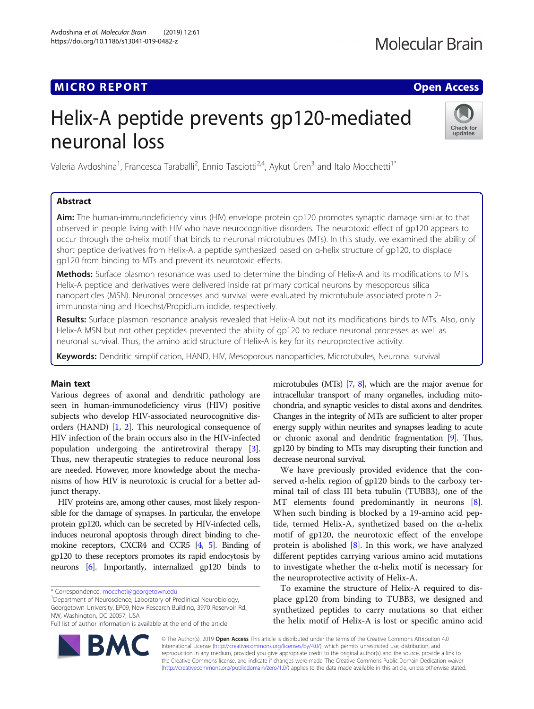# Helix-A peptide prevents gp120-mediated neuronal loss



Valeria Avdoshina<sup>1</sup>, Francesca Taraballi<sup>2</sup>, Ennio Tasciotti<sup>2,4</sup>, Aykut Üren<sup>3</sup> and Italo Mocchetti<sup>1\*</sup>

## **Abstract**

Aim: The human-immunodeficiency virus (HIV) envelope protein gp120 promotes synaptic damage similar to that observed in people living with HIV who have neurocognitive disorders. The neurotoxic effect of gp120 appears to occur through the α-helix motif that binds to neuronal microtubules (MTs). In this study, we examined the ability of short peptide derivatives from Helix-A, a peptide synthesized based on α-helix structure of gp120, to displace gp120 from binding to MTs and prevent its neurotoxic effects.

Methods: Surface plasmon resonance was used to determine the binding of Helix-A and its modifications to MTs. Helix-A peptide and derivatives were delivered inside rat primary cortical neurons by mesoporous silica nanoparticles (MSN). Neuronal processes and survival were evaluated by microtubule associated protein 2 immunostaining and Hoechst/Propidium iodide, respectively.

Results: Surface plasmon resonance analysis revealed that Helix-A but not its modifications binds to MTs. Also, only Helix-A MSN but not other peptides prevented the ability of gp120 to reduce neuronal processes as well as neuronal survival. Thus, the amino acid structure of Helix-A is key for its neuroprotective activity.

Keywords: Dendritic simplification, HAND, HIV, Mesoporous nanoparticles, Microtubules, Neuronal survival

Main text Various degrees of axonal and dendritic pathology are seen in human-immunodeficiency virus (HIV) positive subjects who develop HIV-associated neurocognitive disorders (HAND) [\[1,](#page-3-0) [2\]](#page-3-0). This neurological consequence of HIV infection of the brain occurs also in the HIV-infected population undergoing the antiretroviral therapy [[3](#page-3-0)]. Thus, new therapeutic strategies to reduce neuronal loss are needed. However, more knowledge about the mechanisms of how HIV is neurotoxic is crucial for a better adjunct therapy.

HIV proteins are, among other causes, most likely responsible for the damage of synapses. In particular, the envelope protein gp120, which can be secreted by HIV-infected cells, induces neuronal apoptosis through direct binding to chemokine receptors, CXCR4 and CCR5 [\[4](#page-3-0), [5](#page-3-0)]. Binding of gp120 to these receptors promotes its rapid endocytosis by neurons [\[6](#page-3-0)]. Importantly, internalized gp120 binds to

<sup>1</sup>Department of Neuroscience, Laboratory of Preclinical Neurobiology, Georgetown University, EP09, New Research Building, 3970 Reservoir Rd., NW, Washington, DC 20057, USA

microtubules (MTs) [\[7,](#page-3-0) [8\]](#page-3-0), which are the major avenue for intracellular transport of many organelles, including mitochondria, and synaptic vesicles to distal axons and dendrites. Changes in the integrity of MTs are sufficient to alter proper energy supply within neurites and synapses leading to acute or chronic axonal and dendritic fragmentation [\[9\]](#page-3-0). Thus, gp120 by binding to MTs may disrupting their function and decrease neuronal survival.

We have previously provided evidence that the conserved α-helix region of gp120 binds to the carboxy terminal tail of class III beta tubulin (TUBB3), one of the MT elements found predominantly in neurons [\[8](#page-3-0)]. When such binding is blocked by a 19-amino acid peptide, termed Helix-A, synthetized based on the α-helix motif of gp120, the neurotoxic effect of the envelope protein is abolished [[8\]](#page-3-0). In this work, we have analyzed different peptides carrying various amino acid mutations to investigate whether the α-helix motif is necessary for the neuroprotective activity of Helix-A.

To examine the structure of Helix-A required to displace gp120 from binding to TUBB3, we designed and synthetized peptides to carry mutations so that either the helix motif of Helix-A is lost or specific amino acid



© The Author(s). 2019 **Open Access** This article is distributed under the terms of the Creative Commons Attribution 4.0 International License [\(http://creativecommons.org/licenses/by/4.0/](http://creativecommons.org/licenses/by/4.0/)), which permits unrestricted use, distribution, and reproduction in any medium, provided you give appropriate credit to the original author(s) and the source, provide a link to the Creative Commons license, and indicate if changes were made. The Creative Commons Public Domain Dedication waiver [\(http://creativecommons.org/publicdomain/zero/1.0/](http://creativecommons.org/publicdomain/zero/1.0/)) applies to the data made available in this article, unless otherwise stated.

<sup>\*</sup> Correspondence: [moccheti@georgetown.edu](mailto:moccheti@georgetown.edu) <sup>1</sup>

Full list of author information is available at the end of the article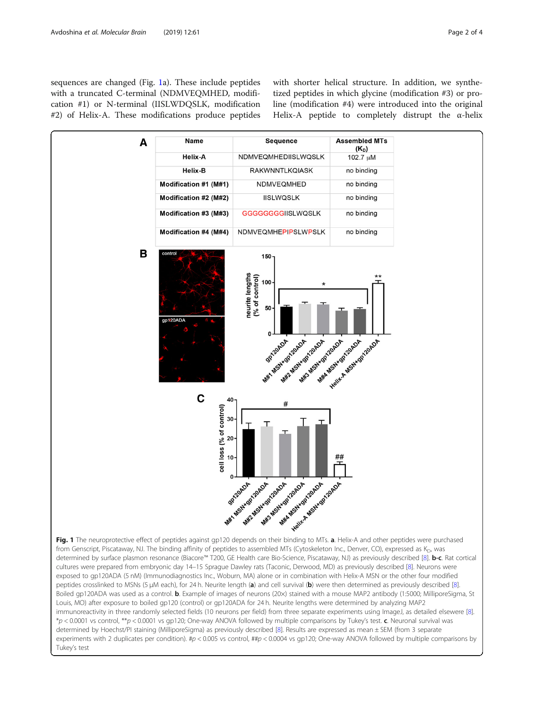<span id="page-1-0"></span>sequences are changed (Fig. 1a). These include peptides with a truncated C-terminal (NDMVEQMHED, modification #1) or N-terminal (IISLWDQSLK, modification #2) of Helix-A. These modifications produce peptides with shorter helical structure. In addition, we synthetized peptides in which glycine (modification #3) or proline (modification #4) were introduced into the original Helix-A peptide to completely distrupt the α-helix

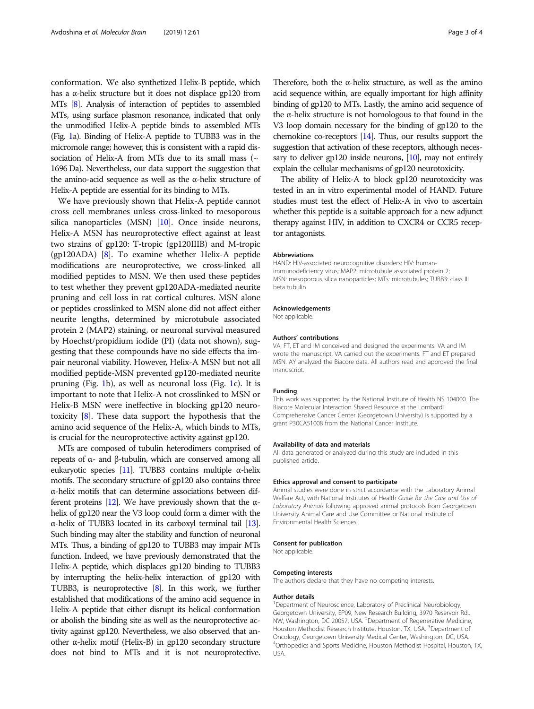conformation. We also synthetized Helix-B peptide, which has a α-helix structure but it does not displace gp120 from MTs [\[8\]](#page-3-0). Analysis of interaction of peptides to assembled MTs, using surface plasmon resonance, indicated that only the unmodified Helix-A peptide binds to assembled MTs (Fig. [1](#page-1-0)a). Binding of Helix-A peptide to TUBB3 was in the micromole range; however, this is consistent with a rapid dissociation of Helix-A from MTs due to its small mass ( $\sim$ 1696 Da). Nevertheless, our data support the suggestion that the amino-acid sequence as well as the α-helix structure of Helix-A peptide are essential for its binding to MTs.

We have previously shown that Helix-A peptide cannot cross cell membranes unless cross-linked to mesoporous silica nanoparticles (MSN) [\[10\]](#page-3-0). Once inside neurons, Helix-A MSN has neuroprotective effect against at least two strains of gp120: T-tropic (gp120IIIB) and M-tropic (gp120ADA) [\[8\]](#page-3-0). To examine whether Helix-A peptide modifications are neuroprotective, we cross-linked all modified peptides to MSN. We then used these peptides to test whether they prevent gp120ADA-mediated neurite pruning and cell loss in rat cortical cultures. MSN alone or peptides crosslinked to MSN alone did not affect either neurite lengths, determined by microtubule associated protein 2 (MAP2) staining, or neuronal survival measured by Hoechst/propidium iodide (PI) (data not shown), suggesting that these compounds have no side effects tha impair neuronal viability. However, Helix-A MSN but not all modified peptide-MSN prevented gp120-mediated neurite pruning (Fig. [1](#page-1-0)b), as well as neuronal loss (Fig. [1c](#page-1-0)). It is important to note that Helix-A not crosslinked to MSN or Helix-B MSN were ineffective in blocking gp120 neurotoxicity [[8\]](#page-3-0). These data support the hypothesis that the amino acid sequence of the Helix-A, which binds to MTs, is crucial for the neuroprotective activity against gp120.

MTs are composed of tubulin heterodimers comprised of repeats of α- and β-tubulin, which are conserved among all eukaryotic species [\[11](#page-3-0)]. TUBB3 contains multiple α-helix motifs. The secondary structure of gp120 also contains three α-helix motifs that can determine associations between different proteins [\[12](#page-3-0)]. We have previously shown that the αhelix of gp120 near the V3 loop could form a dimer with the α-helix of TUBB3 located in its carboxyl terminal tail [\[13\]](#page-3-0). Such binding may alter the stability and function of neuronal MTs. Thus, a binding of gp120 to TUBB3 may impair MTs function. Indeed, we have previously demonstrated that the Helix-A peptide, which displaces gp120 binding to TUBB3 by interrupting the helix-helix interaction of gp120 with TUBB3, is neuroprotective [\[8\]](#page-3-0). In this work, we further established that modifications of the amino acid sequence in Helix-A peptide that either disrupt its helical conformation or abolish the binding site as well as the neuroprotective activity against gp120. Nevertheless, we also observed that another α-helix motif (Helix-B) in gp120 secondary structure does not bind to MTs and it is not neuroprotective. Therefore, both the  $\alpha$ -helix structure, as well as the amino acid sequence within, are equally important for high affinity binding of gp120 to MTs. Lastly, the amino acid sequence of the α-helix structure is not homologous to that found in the V3 loop domain necessary for the binding of gp120 to the chemokine co-receptors [[14\]](#page-3-0). Thus, our results support the suggestion that activation of these receptors, although neces-sary to deliver gp120 inside neurons, [\[10](#page-3-0)], may not entirely explain the cellular mechanisms of gp120 neurotoxicity.

The ability of Helix-A to block gp120 neurotoxicity was tested in an in vitro experimental model of HAND. Future studies must test the effect of Helix-A in vivo to ascertain whether this peptide is a suitable approach for a new adjunct therapy against HIV, in addition to CXCR4 or CCR5 receptor antagonists.

#### Abbreviations

HAND: HIV-associated neurocognitive disorders; HIV: humanimmunodeficiency virus; MAP2: microtubule associated protein 2; MSN: mesoporous silica nanoparticles; MTs: microtubules; TUBB3: class III beta tubulin

#### Acknowledgements

Not applicable.

#### Authors' contributions

VA, FT, ET and IM conceived and designed the experiments. VA and IM wrote the manuscript. VA carried out the experiments. FT and ET prepared MSN. AY analyzed the Biacore data. All authors read and approved the final manuscript.

#### Funding

This work was supported by the National Institute of Health NS 104000. The Biacore Molecular Interaction Shared Resource at the Lombardi Comprehensive Cancer Center (Georgetown University) is supported by a grant P30CA51008 from the National Cancer Institute.

### Availability of data and materials

All data generated or analyzed during this study are included in this published article.

#### Ethics approval and consent to participate

Animal studies were done in strict accordance with the Laboratory Animal Welfare Act, with National Institutes of Health Guide for the Care and Use of Laboratory Animals following approved animal protocols from Georgetown University Animal Care and Use Committee or National Institute of Environmental Health Sciences.

#### Consent for publication

Not applicable.

#### Competing interests

The authors declare that they have no competing interests.

#### Author details

<sup>1</sup>Department of Neuroscience, Laboratory of Preclinical Neurobiology Georgetown University, EP09, New Research Building, 3970 Reservoir Rd., NW, Washington, DC 20057, USA. <sup>2</sup>Department of Regenerative Medicine Houston Methodist Research Institute, Houston, TX, USA. <sup>3</sup>Department of Oncology, Georgetown University Medical Center, Washington, DC, USA. 4 Orthopedics and Sports Medicine, Houston Methodist Hospital, Houston, TX, USA.